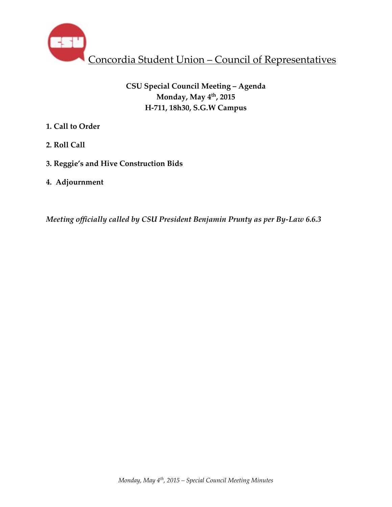

# **CSU Special Council Meeting – Agenda Monday, May 4th, 2015 H-711, 18h30, S.G.W Campus**

- **1. Call to Order**
- **2. Roll Call**
- **3. Reggie's and Hive Construction Bids**
- **4. Adjournment**

*Meeting officially called by CSU President Benjamin Prunty as per By-Law 6.6.3*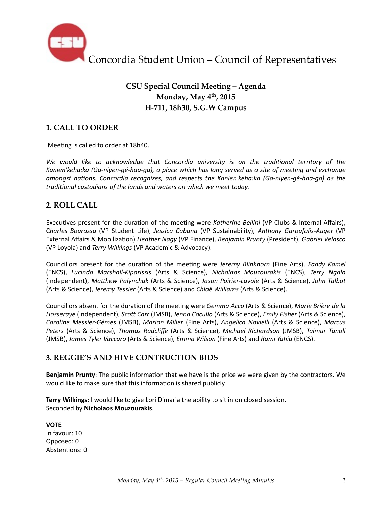

# **CSU Special Council Meeting – Agenda Monday, May 4th, 2015 H-711, 18h30, S.G.W Campus**

## **1. CALL TO ORDER**

Meeting is called to order at 18h40.

We would like to acknowledge that Concordia university is on the traditional territory of the Kanien'keha:ka (Ga-niyen-gé-haa-ga), a place which has long served as a site of meeting and exchange *amongst nations. Concordia recognizes, and respects the Kanien'keha:ka (Ga-niyen-gé-haa-ga)* as the *traditional custodians of the lands and waters on which we meet today.* 

### **2. ROLL CALL**

Executives present for the duration of the meeting were *Katherine Bellini* (VP Clubs & Internal Affairs), C*harles Bourassa* (VP Student Life), *Jessica Cabana* (VP Sustainability), *Anthony Garoufalis-Auger* (VP External Affairs & Mobiliza%on) *Heather Nagy* (VP Finance), *Benjamin Prunty* (President), *Gabriel Velasco* (VP Loyola) and *Terry Wilkings* (VP Academic & Advocacy).

Councillors present for the duration of the meeting were *Jeremy Blinkhorn* (Fine Arts), Faddy Kamel (ENCS), *Lucinda Marshall-Kiparissis*  (Arts & Science), *Nicholaos Mouzourakis*  (ENCS), *Terry Ngala* (Independent), Matthew Palynchuk (Arts & Science), Jason Poirier-Lavoie (Arts & Science), John Talbot (Arts & Science), *Jeremy Tessier* (Arts & Science) and *Chloë Williams* (Arts & Science).

Councillors absent for the duration of the meeting were *Gemma Acco* (Arts & Science), *Marie Brière de la Hosseraye* (Independent), *Scott Carr* (JMSB), *Jenna Cocullo* (Arts & Science), *Emily Fisher* (Arts & Science), *Caroline Messier-Gémes*  (JMSB), *Marion Miller*  (Fine Arts), *Angelica Novielli*  (Arts & Science), *Marcus Peters* (Arts & Science), *Thomas Radcliffe* (Arts & Science), *Michael Richardson* (JMSB), *Taimur Tanoli*  (JMSB), *James Tyler Vaccaro* (Arts & Science), *Emma Wilson* (Fine Arts) and *Rami Yahia* (ENCS).

## **3. REGGIE'S AND HIVE CONTRUCTION BIDS**

**Benjamin Prunty**: The public information that we have is the price we were given by the contractors. We would like to make sure that this information is shared publicly

Terry Wilkings: I would like to give Lori Dimaria the ability to sit in on closed session. Seconded by **Nicholaos Mouzourakis**. 

**VOTE**  In favour: 10 Opposed: 0 Abstentions: 0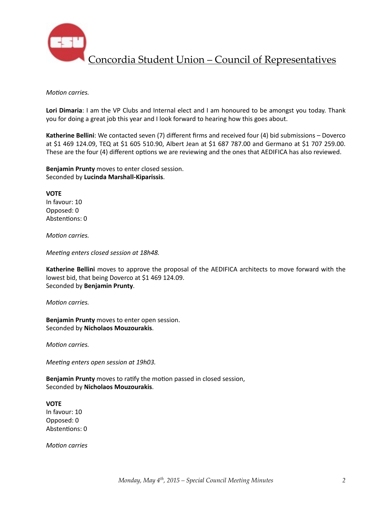

Concordia Student Union – Council of Representatives

#### *Motion carries.*

Lori Dimaria: I am the VP Clubs and Internal elect and I am honoured to be amongst you today. Thank you for doing a great job this year and I look forward to hearing how this goes about.

**Katherine Bellini**: We contacted seven (7) different firms and received four (4) bid submissions – Doverco at \$1 469 124.09, TEQ at \$1 605 510.90, Albert Jean at \$1 687 787.00 and Germano at \$1 707 259.00. These are the four (4) different options we are reviewing and the ones that AEDIFICA has also reviewed.

**Benjamin Prunty** moves to enter closed session. Seconded by **Lucinda Marshall-Kiparissis**. 

**VOTE** In favour: 10 Opposed: 0 Abstentions: 0

*Motion carries.* 

*Meeting enters closed session at 18h48.* 

**Katherine Bellini** moves to approve the proposal of the AEDIFICA architects to move forward with the lowest bid, that being Doverco at \$1 469 124.09. Seconded by **Benjamin Prunty**. 

*Motion carries.* 

**Benjamin Prunty** moves to enter open session. Seconded by **Nicholaos Mouzourakis**.

*Motion carries.* 

*Meeting enters open session at 19h03.* 

**Benjamin Prunty** moves to ratify the motion passed in closed session, Seconded by **Nicholaos Mouzourakis**. 

**VOTE**  In favour: 10 Opposed: 0 

Abstentions: 0

*Motion carries*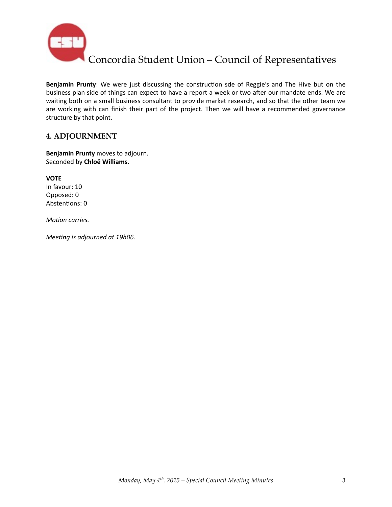

Concordia Student Union – Council of Representatives

**Benjamin Prunty**: We were just discussing the construction sde of Reggie's and The Hive but on the business plan side of things can expect to have a report a week or two after our mandate ends. We are waiting both on a small business consultant to provide market research, and so that the other team we are working with can finish their part of the project. Then we will have a recommended governance structure by that point.

### **4. ADJOURNMENT**

**Benjamin Prunty** moves to adjourn. Seconded by **Chloë Williams**. 

**VOTE** In favour: 10 Opposed: 0 Abstentions: 0

*Motion carries.* 

*Meeting is adjourned at 19h06.*